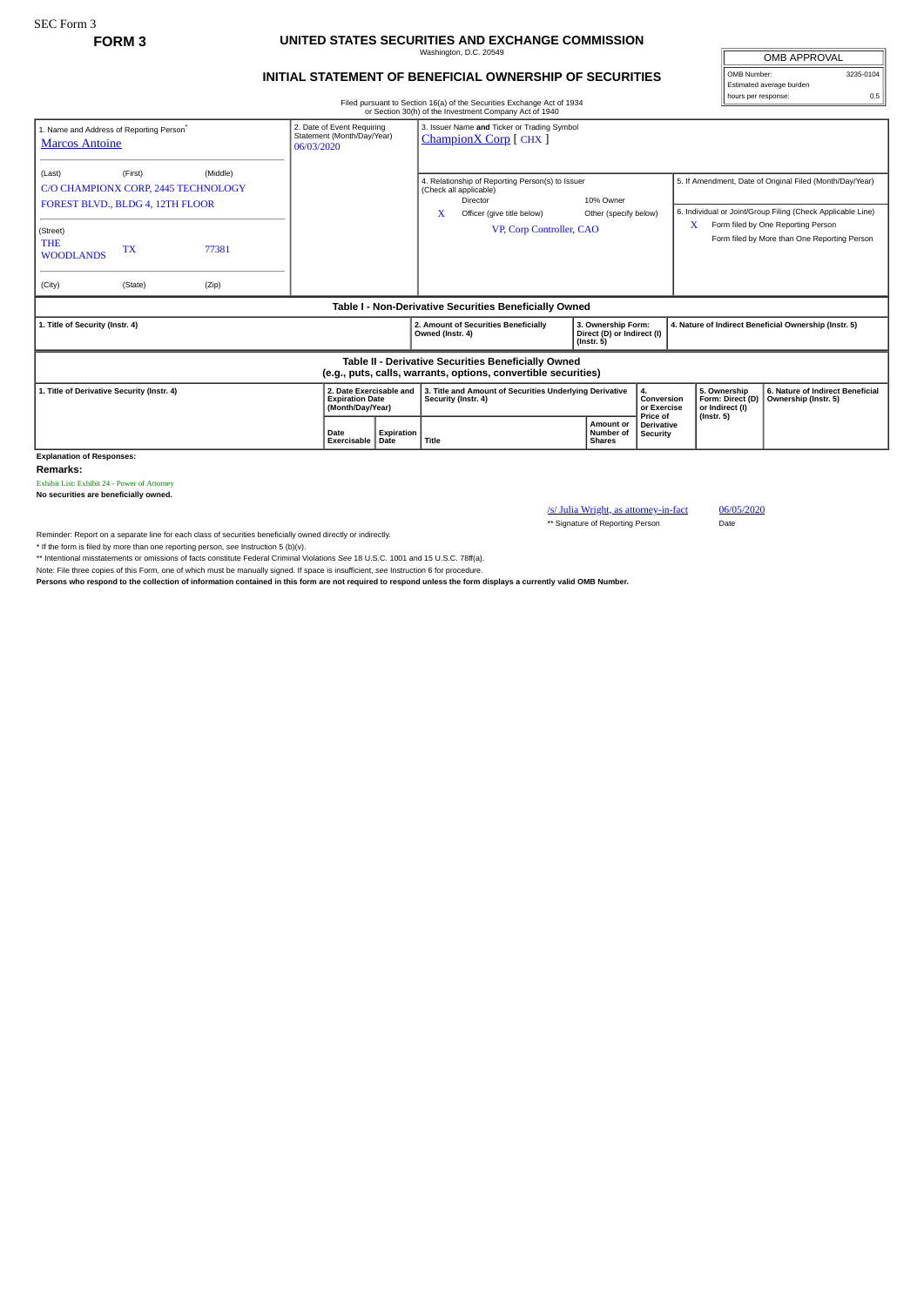## **FORM 3 UNITED STATES SECURITIES AND EXCHANGE COMMISSION** Washington, D.C. 20549

## **INITIAL STATEMENT OF BENEFICIAL OWNERSHIP OF SECURITIES**

OMB APPROVAL OMB Number: 3235-0104 Estimated average burden hours per response: 0.5

Filed pursuant to Section 16(a) of the Securities Exchange Act of 1934 or Section 30(h) of the Investment Company Act of 1940

| 1. Name and Address of Reporting Person®<br><b>Marcos Antoine</b>                                                     |                                                                                                | 2. Date of Event Requiring<br>Statement (Month/Day/Year)<br>06/03/2020 |                     | 3. Issuer Name and Ticker or Trading Symbol<br>ChampionX Corp [CHX]                                                                                             |                                                                      |                                                |                                                                                                                         |                                                     |                                                                                    |
|-----------------------------------------------------------------------------------------------------------------------|------------------------------------------------------------------------------------------------|------------------------------------------------------------------------|---------------------|-----------------------------------------------------------------------------------------------------------------------------------------------------------------|----------------------------------------------------------------------|------------------------------------------------|-------------------------------------------------------------------------------------------------------------------------|-----------------------------------------------------|------------------------------------------------------------------------------------|
| (Last)                                                                                                                | (Middle)<br>(First)<br>C/O CHAMPIONX CORP, 2445 TECHNOLOGY<br>FOREST BLVD., BLDG 4, 12TH FLOOR |                                                                        |                     | 4. Relationship of Reporting Person(s) to Issuer<br>(Check all applicable)<br>10% Owner<br>Director<br>X<br>Officer (give title below)<br>Other (specify below) |                                                                      |                                                | 5. If Amendment, Date of Original Filed (Month/Day/Year)<br>6. Individual or Joint/Group Filing (Check Applicable Line) |                                                     |                                                                                    |
| (Street)<br><b>THE</b><br><b>WOODLANDS</b>                                                                            | <b>TX</b>                                                                                      | 77381                                                                  |                     |                                                                                                                                                                 | VP, Corp Controller, CAO                                             |                                                |                                                                                                                         | x                                                   | Form filed by One Reporting Person<br>Form filed by More than One Reporting Person |
| (City)                                                                                                                | (State)                                                                                        | (Zip)                                                                  |                     |                                                                                                                                                                 |                                                                      |                                                |                                                                                                                         |                                                     |                                                                                    |
| Table I - Non-Derivative Securities Beneficially Owned                                                                |                                                                                                |                                                                        |                     |                                                                                                                                                                 |                                                                      |                                                |                                                                                                                         |                                                     |                                                                                    |
| 1. Title of Security (Instr. 4)                                                                                       |                                                                                                |                                                                        |                     | 2. Amount of Securities Beneficially<br>Owned (Instr. 4)                                                                                                        | 3. Ownership Form:<br>Direct (D) or Indirect (I)<br>$($ lnstr. 5 $)$ |                                                | 4. Nature of Indirect Beneficial Ownership (Instr. 5)                                                                   |                                                     |                                                                                    |
| Table II - Derivative Securities Beneficially Owned<br>(e.g., puts, calls, warrants, options, convertible securities) |                                                                                                |                                                                        |                     |                                                                                                                                                                 |                                                                      |                                                |                                                                                                                         |                                                     |                                                                                    |
| 1. Title of Derivative Security (Instr. 4)                                                                            |                                                                                                |                                                                        |                     | 2. Date Exercisable and<br>3. Title and Amount of Securities Underlying Derivative<br><b>Expiration Date</b><br>Security (Instr. 4)<br>(Month/Day/Year)         |                                                                      | 4.<br>Conversion<br>or Exercise                |                                                                                                                         | 5. Ownership<br>Form: Direct (D)<br>or Indirect (I) | 6. Nature of Indirect Beneficial<br>Ownership (Instr. 5)                           |
|                                                                                                                       |                                                                                                |                                                                        | Date<br>Exercisable | Expiration<br>Date                                                                                                                                              | Title                                                                | <b>Amount or</b><br>Number of<br><b>Shares</b> | Price of<br><b>Derivative</b><br>Security                                                                               | $($ lnstr. 5 $)$                                    |                                                                                    |

**Explanation of Responses:**

**Remarks:**

Exhibit List: Exhibit 24 - Power of Attorney

**No securities are beneficially owned.**

/s/ Julia Wright, as attorney-in-fact 06/05/2020 \*\* Signature of Reporting Person Date

Reminder: Report on a separate line for each class of securities beneficially owned directly or indirectly.

\* If the form is filed by more than one reporting person, *see* Instruction 5 (b)(v).

\*\* Intentional misstatements or omissions of facts constitute Federal Criminal Violations *See* 18 U.S.C. 1001 and 15 U.S.C. 78ff(a). Note: File three copies of this Form, one of which must be manually signed. If space is insufficient, *see* Instruction 6 for procedure.

**Persons who respond to the collection of information contained in this form are not required to respond unless the form displays a currently valid OMB Number.**